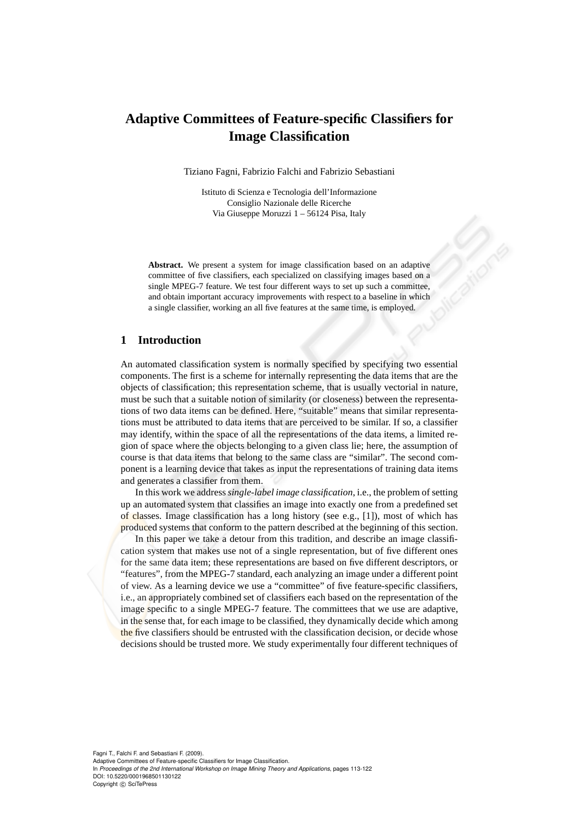# **Adaptive Committees of Feature-specific Classifiers for Image Classification**

Tiziano Fagni, Fabrizio Falchi and Fabrizio Sebastiani

Istituto di Scienza e Tecnologia dell'Informazione Consiglio Nazionale delle Ricerche Via Giuseppe Moruzzi 1 – 56124 Pisa, Italy

**Abstract.** We present a system for image classification based on an adaptive committee of five classifiers, each specialized on classifying images based on a single MPEG-7 feature. We test four different ways to set up such a committee, and obtain important accuracy improvements with respect to a baseline in which a single classifier, working an all five features at the same time, is employed.

### **1 Introduction**

An automated classification system is normally specified by specifying two essential components. The first is a scheme for internally representing the data items that are the objects of classification; this representation scheme, that is usually vectorial in nature, must be such that a suitable notion of similarity (or closeness) between the representations of two data items can be defined. Here, "suitable" means that similar representations must be attributed to data items that are perceived to be similar. If so, a classifier may identify, within the space of all the representations of the data items, a limited region of space where the objects belonging to a given class lie; here, the assumption of course is that data items that belong to the same class are "similar". The second component is a learning device that takes as input the representations of training data items and generates a classifier from them.

In this work we address*single-label image classification*, i.e., the problem of setting up an automated system that classifies an image into exactly one from a predefined set of classes. Image classification has a long history (see e.g., [1]), most of which has produced systems that conform to the pattern described at the beginning of this section.

In this paper we take a detour from this tradition, and describe an image classification system that makes use not of a single representation, but of five different ones for the same data item; these representations are based on five different descriptors, or "features", from the MPEG-7 standard, each analyzing an image under a different point of view. As a learning device we use a "committee" of five feature-specific classifiers, i.e., an appropriately combined set of classifiers each based on the representation of the image specific to a single MPEG-7 feature. The committees that we use are adaptive, in the sense that, for each image to be classified, they dynamically decide which among the five classifiers should be entrusted with the classification decision, or decide whose decisions should be trusted more. We study experimentally four different techniques of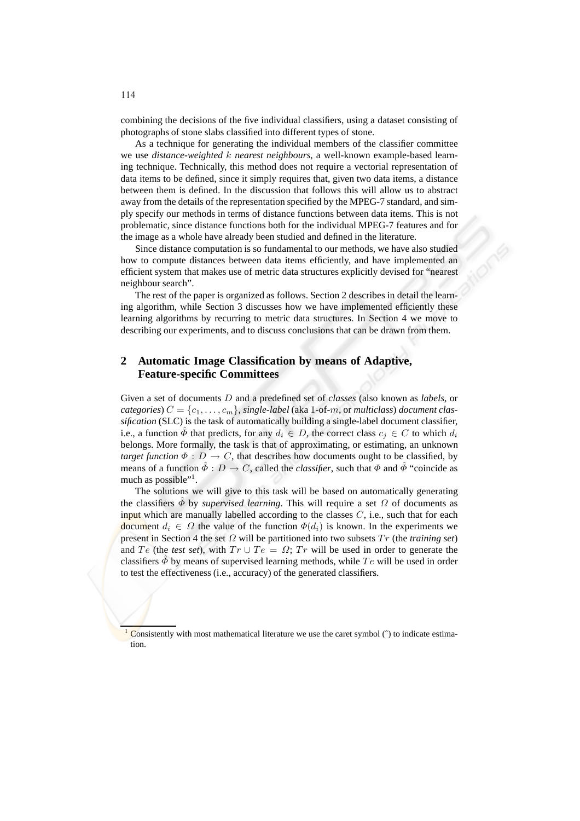combining the decisions of the five individual classifiers, using a dataset consisting of photographs of stone slabs classified into different types of stone.

As a technique for generating the individual members of the classifier committee we use *distance-weighted* k *nearest neighbours*, a well-known example-based learning technique. Technically, this method does not require a vectorial representation of data items to be defined, since it simply requires that, given two data items, a distance between them is defined. In the discussion that follows this will allow us to abstract away from the details of the representation specified by the MPEG-7 standard, and simply specify our methods in terms of distance functions between data items. This is not problematic, since distance functions both for the individual MPEG-7 features and for the image as a whole have already been studied and defined in the literature.

Since distance computation is so fundamental to our methods, we have also studied how to compute distances between data items efficiently, and have implemented an efficient system that makes use of metric data structures explicitly devised for "nearest neighbour search".

The rest of the paper is organized as follows. Section 2 describes in detail the learning algorithm, while Section 3 discusses how we have implemented efficiently these learning algorithms by recurring to metric data structures. In Section 4 we move to describing our experiments, and to discuss conclusions that can be drawn from them.

## **2 Automatic Image Classification by means of Adaptive, Feature-specific Committees**

Given a set of documents D and a predefined set of *classes* (also known as *labels*, or *categories*)  $C = \{c_1, \ldots, c_m\}$ , *single-label* (aka 1-of-*m*, or *multiclass*) *document classification* (SLC) is the task of automatically building a single-label document classifier, i.e., a function  $\hat{\Phi}$  that predicts, for any  $d_i \in D$ , the correct class  $c_j \in C$  to which  $d_i$ belongs. More formally, the task is that of approximating, or estimating, an unknown *target function*  $\Phi: D \to C$ , that describes how documents ought to be classified, by means of a function  $\hat{\Phi}: D \to C$ , called the *classifier*, such that  $\Phi$  and  $\hat{\Phi}$  "coincide as much as possible"<sup>1</sup>.

The solutions we will give to this task will be based on automatically generating the classifiers  $\ddot{\Phi}$  by *supervised learning*. This will require a set  $\Omega$  of documents as input which are manually labelled according to the classes  $C$ , i.e., such that for each document  $d_i \in \Omega$  the value of the function  $\Phi(d_i)$  is known. In the experiments we present in Section 4 the set  $\Omega$  will be partitioned into two subsets  $Tr$  (the *training set*) and Te (the *test set*), with  $Tr \cup Te = \Omega$ ; Tr will be used in order to generate the classifiers  $\hat{\Phi}$  by means of supervised learning methods, while Te will be used in order to test the effectiveness (i.e., accuracy) of the generated classifiers.

 $\overline{\text{Consistently with most mathematical literature we use the caret symbol } (\hat{ } )$  to indicate estimation.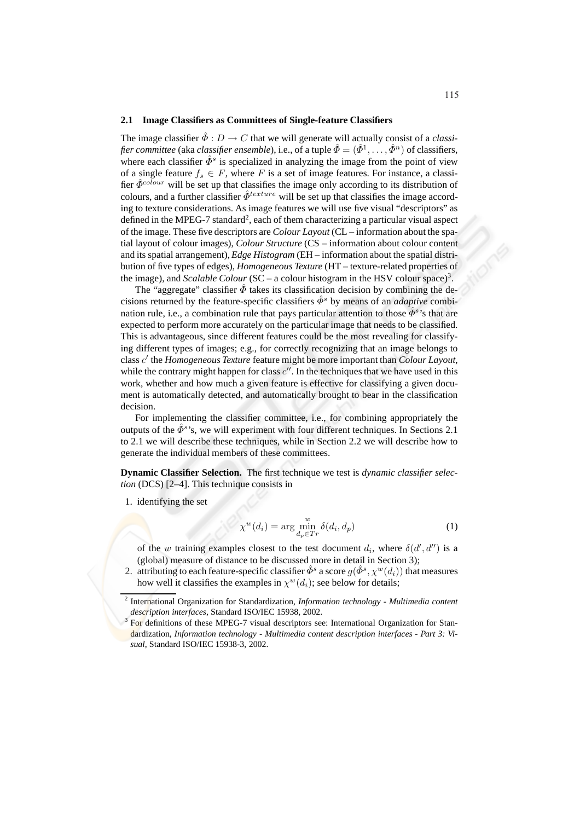#### **2.1 Image Classifiers as Committees of Single-feature Classifiers**

The image classifier  $\hat{\Phi}: D \to C$  that we will generate will actually consist of a *classi*fier committee (aka classifier ensemble), i.e., of a tuple  $\hat{\Phi}=(\hat{\Phi}^1,\ldots,\hat{\Phi}^n)$  of classifiers, where each classifier  $\hat{\Phi}^s$  is specialized in analyzing the image from the point of view of a single feature  $f_s \in F$ , where F is a set of image features. For instance, a classifier  $\hat{\Phi}^{colour}$  will be set up that classifies the image only according to its distribution of colours, and a further classifier  $\hat{\Phi}^{texture}$  will be set up that classifies the image according to texture considerations. As image features we will use five visual "descriptors" as defined in the MPEG-7 standard<sup>2</sup>, each of them characterizing a particular visual aspect of the image. These five descriptors are *Colour Layout* (CL – information about the spatial layout of colour images), *Colour Structure* (CS – information about colour content and its spatial arrangement), *Edge Histogram* (EH – information about the spatial distribution of five types of edges), *Homogeneous Texture* (HT – texture-related properties of the image), and *Scalable Colour* (SC – a colour histogram in the HSV colour space)<sup>3</sup>.

The "aggregate" classifier  $\bar{\phi}$  takes its classification decision by combining the decisions returned by the feature-specific classifiers  $\hat{\phi}^s$  by means of an *adaptive* combination rule, i.e., a combination rule that pays particular attention to those  $\hat{\Phi}^s$ 's that are expected to perform more accurately on the particular image that needs to be classified. This is advantageous, since different features could be the most revealing for classifying different types of images; e.g., for correctly recognizing that an image belongs to class c ′ the *Homogeneous Texture* feature might be more important than *Colour Layout*, while the contrary might happen for class  $c''$ . In the techniques that we have used in this work, whether and how much a given feature is effective for classifying a given document is automatically detected, and automatically brought to bear in the classification decision.

For implementing the classifier committee, i.e., for combining appropriately the outputs of the  $\hat{\phi}^s$ 's, we will experiment with four different techniques. In Sections 2.1 to 2.1 we will describe these techniques, while in Section 2.2 we will describe how to generate the individual members of these committees.

**Dynamic Classifier Selection.** The first technique we test is *dynamic classifier selection* (DCS) [2–4]. This technique consists in

1. identifying the set

$$
\chi^w(d_i) = \arg\min_{d_p \in Tr} \delta(d_i, d_p) \tag{1}
$$

of the w training examples closest to the test document  $d_i$ , where  $\delta(d', d'')$  is a (global) measure of distance to be discussed more in detail in Section 3);

2. attributing to each feature-specific classifier  $\hat{\varPhi}^s$  a score  $g(\hat{\varPhi}^s, \chi^w(d_i))$  that measures how well it classifies the examples in  $\chi^w(d_i)$ ; see below for details;

<sup>2</sup> International Organization for Standardization, *Information technology - Multimedia content description interfaces*, Standard ISO/IEC 15938, 2002.

<sup>3</sup> For definitions of these MPEG-7 visual descriptors see: International Organization for Standardization, *Information technology - Multimedia content description interfaces - Part 3: Visual*, Standard ISO/IEC 15938-3, 2002.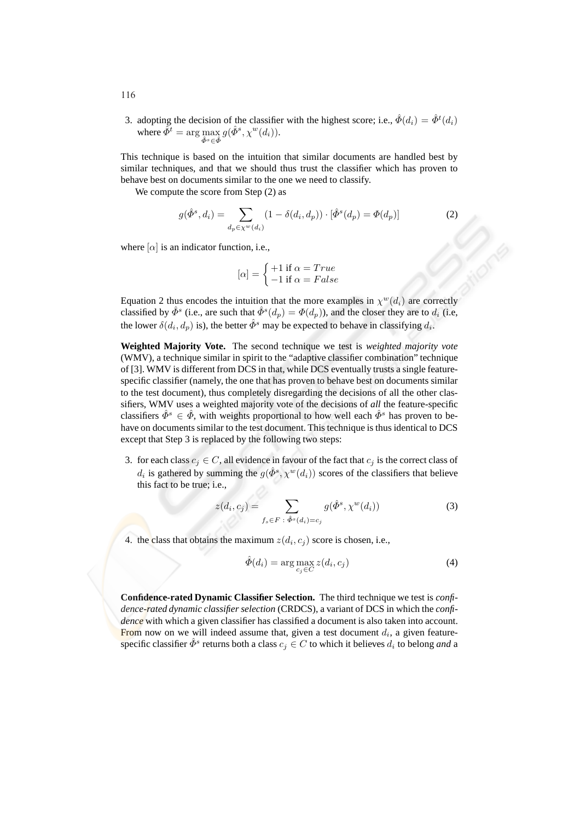3. adopting the decision of the classifier with the highest score; i.e.,  $\hat{\Phi}(d_i) = \hat{\Phi}^t(d_i)$ where  $\hat{\varPhi}^t = \arg\max_{\hat{\varPhi}^s \in \hat{\varPhi}} g(\hat{\varPhi}^s,\chi^w(d_i)).$ 

This technique is based on the intuition that similar documents are handled best by similar techniques, and that we should thus trust the classifier which has proven to behave best on documents similar to the one we need to classify.

We compute the score from Step  $(2)$  as

$$
g(\hat{\Phi}^s, d_i) = \sum_{d_p \in \chi^w(d_i)} (1 - \delta(d_i, d_p)) \cdot [\hat{\Phi}^s(d_p) = \Phi(d_p)] \tag{2}
$$

where  $[\alpha]$  is an indicator function, i.e.,

$$
[\alpha] = \begin{cases} +1 \text{ if } \alpha = True \\ -1 \text{ if } \alpha = False \end{cases}
$$

Equation 2 thus encodes the intuition that the more examples in  $\chi^w(d_i)$  are correctly classified by  $\hat{\Phi}^s$  (i.e., are such that  $\hat{\Phi}^s(d_p) = \Phi(d_p)$ ), and the closer they are to  $d_i$  (i.e. the lower  $\delta(d_i, d_p)$  is), the better  $\hat{\Phi}^s$  may be expected to behave in classifying  $d_i$ .

**Weighted Majority Vote.** The second technique we test is *weighted majority vote* (WMV), a technique similar in spirit to the "adaptive classifier combination" technique of [3]. WMV is different from DCS in that, while DCS eventually trusts a single featurespecific classifier (namely, the one that has proven to behave best on documents similar to the test document), thus completely disregarding the decisions of all the other classifiers, WMV uses a weighted majority vote of the decisions of *all* the feature-specific classifiers  $\hat{\Phi}^s \in \hat{\Phi}$ , with weights proportional to how well each  $\hat{\Phi}^s$  has proven to behave on documents similar to the test document. This technique is thus identical to DCS except that Step 3 is replaced by the following two steps:

3. for each class  $c_j \in C$ , all evidence in favour of the fact that  $c_j$  is the correct class of  $d_i$  is gathered by summing the  $g(\hat{\Phi}^s, \chi^w(d_i))$  scores of the classifiers that believe this fact to be true; i.e.,

$$
z(d_i, c_j) = \sum_{f_s \in F \; : \; \hat{\Phi}^s(d_i) = c_j} g(\hat{\Phi}^s, \chi^w(d_i))
$$
 (3)

4. the class that obtains the maximum  $z(d_i, c_j)$  score is chosen, i.e.,

$$
\hat{\Phi}(d_i) = \arg \max_{c_j \in C} z(d_i, c_j)
$$
\n(4)

**Confidence-rated Dynamic Classifier Selection.** The third technique we test is *confidence-rated dynamic classifier selection* (CRDCS), a variant of DCS in which the *confidence* with which a given classifier has classified a document is also taken into account. From now on we will indeed assume that, given a test document  $d_i$ , a given featurespecific classifier  $\hat{\Phi}^s$  returns both a class  $c_j \in C$  to which it believes  $d_i$  to belong *and* a

116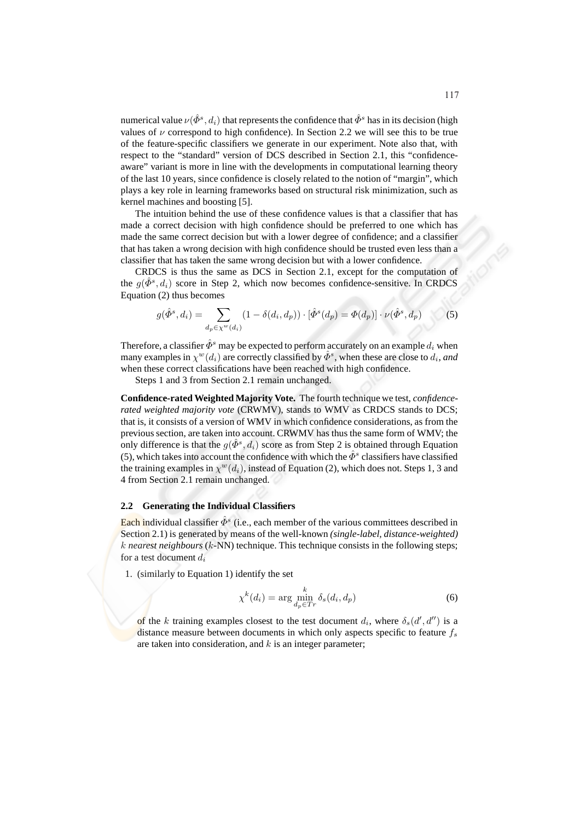numerical value  $\nu(\hat{\mathcal{B}}^s, d_i)$  that represents the confidence that  $\hat{\mathcal{B}}^s$  has in its decision (high values of  $\nu$  correspond to high confidence). In Section 2.2 we will see this to be true of the feature-specific classifiers we generate in our experiment. Note also that, with respect to the "standard" version of DCS described in Section 2.1, this "confidenceaware" variant is more in line with the developments in computational learning theory of the last 10 years, since confidence is closely related to the notion of "margin", which plays a key role in learning frameworks based on structural risk minimization, such as kernel machines and boosting [5].

The intuition behind the use of these confidence values is that a classifier that has made a correct decision with high confidence should be preferred to one which has made the same correct decision but with a lower degree of confidence; and a classifier that has taken a wrong decision with high confidence should be trusted even less than a classifier that has taken the same wrong decision but with a lower confidence.

CRDCS is thus the same as DCS in Section 2.1, except for the computation of the  $g(\hat{\Phi}^s, d_i)$  score in Step 2, which now becomes confidence-sensitive. In CRDCS Equation (2) thus becomes

$$
g(\hat{\Phi}^s, d_i) = \sum_{d_p \in \chi^w(d_i)} (1 - \delta(d_i, d_p)) \cdot [\hat{\Phi}^s(d_p) = \Phi(d_p)] \cdot \nu(\hat{\Phi}^s, d_p)
$$
(5)

Therefore, a classifier  $\hat{\Phi}^s$  may be expected to perform accurately on an example  $d_i$  when many examples in  $\chi^w(d_i)$  are correctly classified by  $\hat{\varPhi}^s$ , when these are close to  $d_i$ , and when these correct classifications have been reached with high confidence.

Steps 1 and 3 from Section 2.1 remain unchanged.

**Confidence-rated Weighted Majority Vote.** The fourth technique we test, *confidencerated weighted majority vote* (CRWMV), stands to WMV as CRDCS stands to DCS; that is, it consists of a version of WMV in which confidence considerations, as from the previous section, are taken into account. CRWMV has thus the same form of WMV; the only difference is that the  $g(\hat{\phi}^s, d_i)$  score as from Step 2 is obtained through Equation (5), which takes into account the confidence with which the  $\hat{\Phi}^s$  classifiers have classified the training examples in  $\chi^w(d_i)$ , instead of Equation (2), which does not. Steps 1, 3 and 4 from Section 2.1 remain unchanged.

#### **2.2 Generating the Individual Classifiers**

Each individual classifier  $\hat{\varPhi}^s$  (i.e., each member of the various committees described in Section 2.1) is generated by means of the well-known *(single-label, distance-weighted)* k *nearest neighbours* (k-NN) technique. This technique consists in the following steps; for a test document  $d_i$ 

1. (similarly to Equation 1) identify the set

$$
\chi^k(d_i) = \arg\min_{d_p \in Tr} \delta_s(d_i, d_p) \tag{6}
$$

of the k training examples closest to the test document  $d_i$ , where  $\delta_s(d', d'')$  is a distance measure between documents in which only aspects specific to feature  $f_s$ are taken into consideration, and  $k$  is an integer parameter;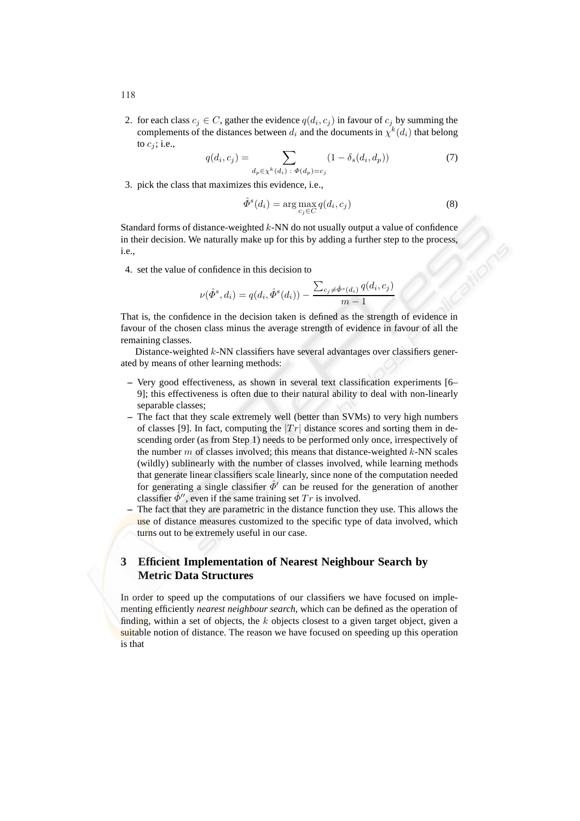2. for each class  $c_j \in C$ , gather the evidence  $q(d_i, c_j)$  in favour of  $c_j$  by summing the complements of the distances between  $d_i$  and the documents in  $\chi^k(d_i)$  that belong to  $c_j$ ; i.e.,

$$
q(d_i, c_j) = \sum_{d_p \in \chi^k(d_i) \; : \; \Phi(d_p) = c_j} (1 - \delta_s(d_i, d_p)) \tag{7}
$$

3. pick the class that maximizes this evidence, i.e.,

$$
\hat{\Phi}^s(d_i) = \arg \max_{c_j \in C} q(d_i, c_j)
$$
\n(8)

Standard forms of distance-weighted  $k$ -NN do not usually output a value of confidence in their decision. We naturally make up for this by adding a further step to the process, i.e.,

4. set the value of confidence in this decision to

$$
\nu(\hat{\Phi}^s, d_i) = q(d_i, \hat{\Phi}^s(d_i)) - \frac{\sum_{c_j \neq \hat{\Phi}^s(d_i)} q(d_i, c_j)}{m - 1}
$$

That is, the confidence in the decision taken is defined as the strength of evidence in favour of the chosen class minus the average strength of evidence in favour of all the remaining classes.

Distance-weighted k-NN classifiers have several advantages over classifiers generated by means of other learning methods:

- **–** Very good effectiveness, as shown in several text classification experiments [6– 9]; this effectiveness is often due to their natural ability to deal with non-linearly separable classes;
- **–** The fact that they scale extremely well (better than SVMs) to very high numbers of classes [9]. In fact, computing the  $|Tr|$  distance scores and sorting them in descending order (as from Step 1) needs to be performed only once, irrespectively of the number  $m$  of classes involved; this means that distance-weighted  $k$ -NN scales (wildly) sublinearly with the number of classes involved, while learning methods that generate linear classifiers scale linearly, since none of the computation needed for generating a single classifier  $\hat{\Phi}'$  can be reused for the generation of another classifier  $\hat{\Phi}$ '', even if the same training set  $Tr$  is involved.
- **–** The fact that they are parametric in the distance function they use. This allows the use of distance measures customized to the specific type of data involved, which turns out to be extremely useful in our case.

# **3 Efficient Implementation of Nearest Neighbour Search by Metric Data Structures**

In order to speed up the computations of our classifiers we have focused on implementing efficiently *nearest neighbour search*, which can be defined as the operation of finding, within a set of objects, the  $k$  objects closest to a given target object, given a suitable notion of distance. The reason we have focused on speeding up this operation is that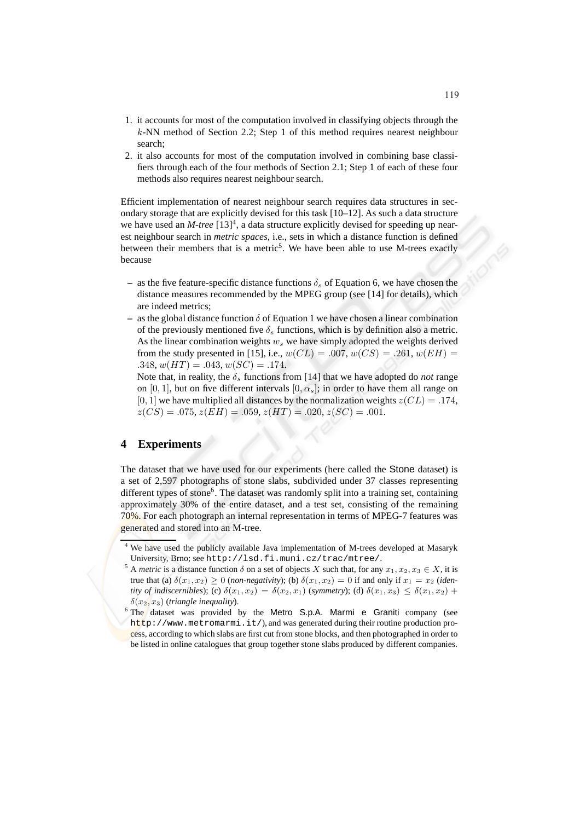- 1. it accounts for most of the computation involved in classifying objects through the k-NN method of Section 2.2; Step 1 of this method requires nearest neighbour search;
- 2. it also accounts for most of the computation involved in combining base classifiers through each of the four methods of Section 2.1; Step 1 of each of these four methods also requires nearest neighbour search.

Efficient implementation of nearest neighbour search requires data structures in secondary storage that are explicitly devised for this task  $[10-12]$ . As such a data structure we have used an *M-tree* [13]<sup>4</sup>, a data structure explicitly devised for speeding up nearest neighbour search in *metric spaces*, i.e., sets in which a distance function is defined between their members that is a metric<sup>5</sup>. We have been able to use M-trees exactly because

- **–** as the five feature-specific distance functions  $\delta_s$  of Equation 6, we have chosen the distance measures recommended by the MPEG group (see [14] for details), which are indeed metrics;
- **–** as the global distance function  $\delta$  of Equation 1 we have chosen a linear combination of the previously mentioned five  $\delta_s$  functions, which is by definition also a metric. As the linear combination weights  $w<sub>s</sub>$  we have simply adopted the weights derived from the study presented in [15], i.e.,  $w(CL) = .007$ ,  $w(CS) = .261$ ,  $w(EH) =$ .348,  $w(HT) = .043, w(SC) = .174.$

Note that, in reality, the  $\delta_s$  functions from [14] that we have adopted do *not* range on [0, 1], but on five different intervals  $[0, \alpha_s]$ ; in order to have them all range on [0, 1] we have multiplied all distances by the normalization weights  $z(CL) = .174$ ,  $z(CS) = .075, z(EH) = .059, z(HT) = .020, z(SC) = .001.$ 

# **4 Experiments**

The dataset that we have used for our experiments (here called the Stone dataset) is a set of 2,597 photographs of stone slabs, subdivided under 37 classes representing different types of stone<sup>6</sup>. The dataset was randomly split into a training set, containing approximately 30% of the entire dataset, and a test set, consisting of the remaining 70%. For each photograph an internal representation in terms of MPEG-7 features was generated and stored into an M-tree.

We have used the publicly available Java implementation of M-trees developed at Masaryk University, Brno; see http://lsd.fi.muni.cz/trac/mtree/.

<sup>&</sup>lt;sup>5</sup> A *metric* is a distance function  $\delta$  on a set of objects X such that, for any  $x_1, x_2, x_3 \in X$ , it is true that (a)  $\delta(x_1, x_2) \ge 0$  (*non-negativity*); (b)  $\delta(x_1, x_2) = 0$  if and only if  $x_1 = x_2$  (*identity of indiscernibles*); (c)  $\delta(x_1, x_2) = \delta(x_2, x_1)$  (*symmetry*); (d)  $\delta(x_1, x_3) \leq \delta(x_1, x_2) +$  $\delta(x_2, x_3)$  (*triangle inequality*).

<sup>&</sup>lt;sup>6</sup> The dataset was provided by the Metro S.p.A. Marmi e Graniti company (see http://www.metromarmi.it/), and was generated during their routine production process, according to which slabs are first cut from stone blocks, and then photographed in order to be listed in online catalogues that group together stone slabs produced by different companies.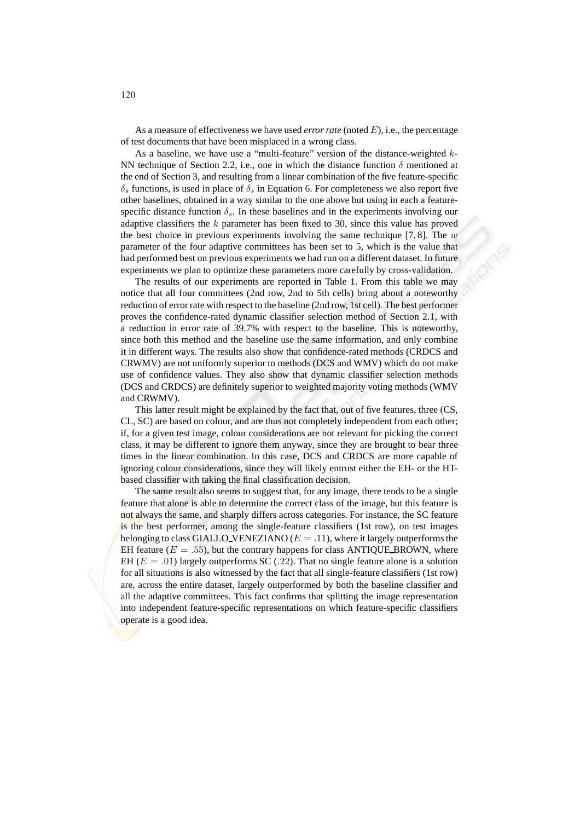As a measure of effectiveness we have used *error rate* (noted E), i.e., the percentage of test documents that have been misplaced in a wrong class.

As a baseline, we have use a "multi-feature" version of the distance-weighted k-NN technique of Section 2.2, i.e., one in which the distance function  $\delta$  mentioned at the end of Section 3, and resulting from a linear combination of the five feature-specific  $\delta_s$  functions, is used in place of  $\delta_s$  in Equation 6. For completeness we also report five other baselines, obtained in a way similar to the one above but using in each a featurespecific distance function  $\delta_s$ . In these baselines and in the experiments involving our adaptive classifiers the  $k$  parameter has been fixed to 30, since this value has proved the best choice in previous experiments involving the same technique [7, 8]. The w parameter of the four adaptive committees has been set to 5, which is the value that had performed best on previous experiments we had run on a different dataset. In future experiments we plan to optimize these parameters more carefully by cross-validation.

The results of our experiments are reported in Table 1. From this table we may notice that all four committees (2nd row, 2nd to 5th cells) bring about a noteworthy reduction of error rate with respect to the baseline (2nd row, 1st cell). The best performer proves the confidence-rated dynamic classifier selection method of Section 2.1, with a reduction in error rate of 39.7% with respect to the baseline. This is noteworthy, since both this method and the baseline use the same information, and only combine it in different ways. The results also show that confidence-rated methods (CRDCS and CRWMV) are not uniformly superior to methods (DCS and WMV) which do not make use of confidence values. They also show that dynamic classifier selection methods (DCS and CRDCS) are definitely superior to weighted majority voting methods (WMV and CRWMV).

This latter result might be explained by the fact that, out of five features, three (CS, CL, SC) are based on colour, and are thus not completely independent from each other; if, for a given test image, colour considerations are not relevant for picking the correct class, it may be different to ignore them anyway, since they are brought to bear three times in the linear combination. In this case, DCS and CRDCS are more capable of ignoring colour considerations, since they will likely entrust either the EH- or the HTbased classifier with taking the final classification decision.

The same result also seems to suggest that, for any image, there tends to be a single feature that alone is able to determine the correct class of the image, but this feature is not always the same, and sharply differs across categories. For instance, the SC feature is the best performer, among the single-feature classifiers (1st row), on test images belonging to class GIALLO VENEZIANO ( $E = .11$ ), where it largely outperforms the EH feature ( $E = .55$ ), but the contrary happens for class ANTIQUE BROWN, where EH ( $E = .01$ ) largely outperforms SC (.22). That no single feature alone is a solution for all situations is also witnessed by the fact that all single-feature classifiers (1st row) are, across the entire dataset, largely outperformed by both the baseline classifier and all the adaptive committees. This fact confirms that splitting the image representation into independent feature-specific representations on which feature-specific classifiers operate is a good idea.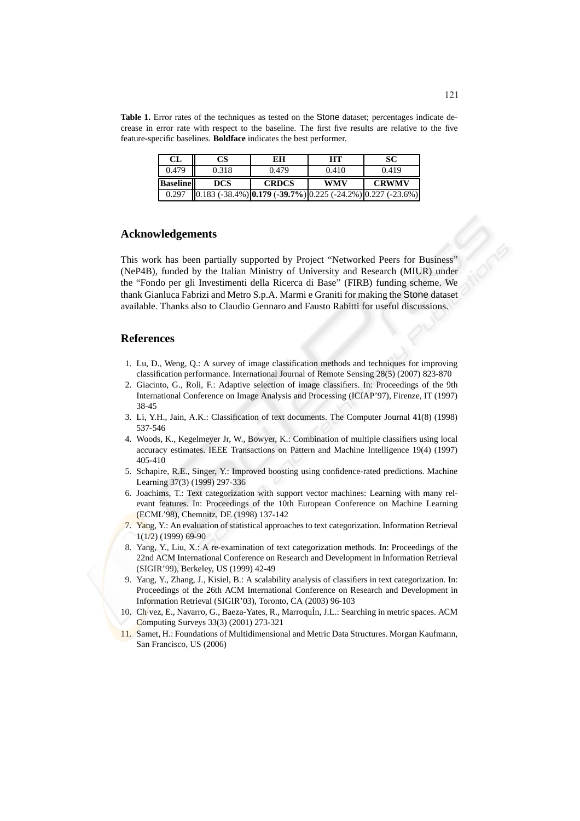**Table 1.** Error rates of the techniques as tested on the Stone dataset; percentages indicate decrease in error rate with respect to the baseline. The first five results are relative to the five feature-specific baselines. **Boldface** indicates the best performer.

| CL              | CS                                                                     | EН           | HТ         |              |
|-----------------|------------------------------------------------------------------------|--------------|------------|--------------|
| 0.479           | 0.318                                                                  | 0.479        | 0.410      | 0.419        |
| <b>Baseline</b> | <b>DCS</b>                                                             | <b>CRDCS</b> | <b>WMV</b> | <b>CRWMV</b> |
| 0.297           | $(0.183 (-38.4\%))(0.179 (-39.7\%))(0.225 (-24.2\%))(0.227 (-23.6\%))$ |              |            |              |

### **Acknowledgements**

This work has been partially supported by Project "Networked Peers for Business" (NeP4B), funded by the Italian Ministry of University and Research (MIUR) under the "Fondo per gli Investimenti della Ricerca di Base" (FIRB) funding scheme. We thank Gianluca Fabrizi and Metro S.p.A. Marmi e Graniti for making the Stone dataset available. Thanks also to Claudio Gennaro and Fausto Rabitti for useful discussions.

### **References**

- 1. Lu, D., Weng, Q.: A survey of image classification methods and techniques for improving classification performance. International Journal of Remote Sensing 28(5) (2007) 823-870
- 2. Giacinto, G., Roli, F.: Adaptive selection of image classifiers. In: Proceedings of the 9th International Conference on Image Analysis and Processing (ICIAP'97), Firenze, IT (1997) 38-45
- 3. Li, Y.H., Jain, A.K.: Classification of text documents. The Computer Journal 41(8) (1998) 537-546
- 4. Woods, K., Kegelmeyer Jr, W., Bowyer, K.: Combination of multiple classifiers using local accuracy estimates. IEEE Transactions on Pattern and Machine Intelligence 19(4) (1997) 405-410
- 5. Schapire, R.E., Singer, Y.: Improved boosting using confidence-rated predictions. Machine Learning 37(3) (1999) 297-336
- 6. Joachims, T.: Text categorization with support vector machines: Learning with many relevant features. In: Proceedings of the 10th European Conference on Machine Learning (ECML'98), Chemnitz, DE (1998) 137-142
- 7. Yang, Y.: An evaluation of statistical approaches to text categorization. Information Retrieval 1(1/2) (1999) 69-90
- 8. Yang, Y., Liu, X.: A re-examination of text categorization methods. In: Proceedings of the 22nd ACM International Conference on Research and Development in Information Retrieval (SIGIR'99), Berkeley, US (1999) 42-49
- 9. Yang, Y., Zhang, J., Kisiel, B.: A scalability analysis of classifiers in text categorization. In: Proceedings of the 26th ACM International Conference on Research and Development in Information Retrieval (SIGIR'03), Toronto, CA (2003) 96-103
- 10. Ch-vez, E., Navarro, G., Baeza-Yates, R., MarroquÌn, J.L.: Searching in metric spaces. ACM Computing Surveys 33(3) (2001) 273-321
- 11. Samet, H.: Foundations of Multidimensional and Metric Data Structures. Morgan Kaufmann, San Francisco, US (2006)